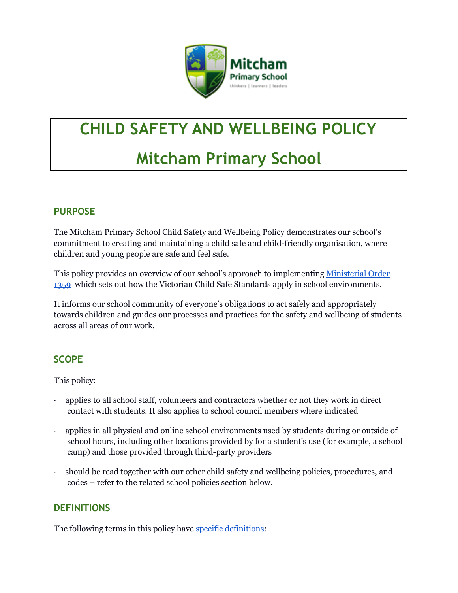

# **CHILD SAFETY AND WELLBEING POLICY Mitcham Primary School**

# **PURPOSE**

The Mitcham Primary School Child Safety and Wellbeing Policy demonstrates our school's commitment to creating and maintaining a child safe and child-friendly organisation, where children and young people are safe and feel safe.

This policy provides an overview of our school's approach to implementing [Ministerial](https://www.education.vic.gov.au/Documents/about/programs/health/protect/Ministerial_Order.pdf) Order [1359](https://www.education.vic.gov.au/Documents/about/programs/health/protect/Ministerial_Order.pdf) which sets out how the Victorian Child Safe Standards apply in school environments.

It informs our school community of everyone's obligations to act safely and appropriately towards children and guides our processes and practices for the safety and wellbeing of students across all areas of our work.

# **SCOPE**

This policy:

- · applies to all school staff, volunteers and contractors whether or not they work in direct contact with students. It also applies to school council members where indicated
- · applies in all physical and online school environments used by students during or outside of school hours, including other locations provided by for a student's use (for example, a school camp) and those provided through third-party providers
- · should be read together with our other child safety and wellbeing policies, procedures, and codes – refer to the related school policies section below.

#### **DEFINITIONS**

The following terms in this policy have specific [definitions](https://www.vic.gov.au/child-safe-standards-definitions):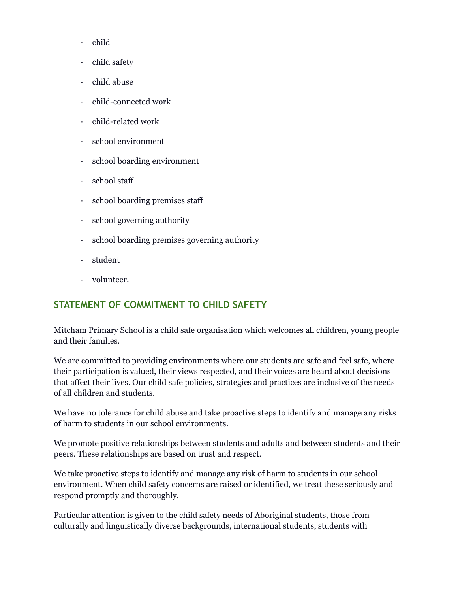- · child
- · child safety
- · child abuse
- · child-connected work
- · child-related work
- · school environment
- · school boarding environment
- · school staff
- · school boarding premises staff
- · school governing authority
- · school boarding premises governing authority
- · student
- · volunteer.

#### **STATEMENT OF COMMITMENT TO CHILD SAFETY**

Mitcham Primary School is a child safe organisation which welcomes all children, young people and their families.

We are committed to providing environments where our students are safe and feel safe, where their participation is valued, their views respected, and their voices are heard about decisions that affect their lives. Our child safe policies, strategies and practices are inclusive of the needs of all children and students.

We have no tolerance for child abuse and take proactive steps to identify and manage any risks of harm to students in our school environments.

We promote positive relationships between students and adults and between students and their peers. These relationships are based on trust and respect.

We take proactive steps to identify and manage any risk of harm to students in our school environment. When child safety concerns are raised or identified, we treat these seriously and respond promptly and thoroughly.

Particular attention is given to the child safety needs of Aboriginal students, those from culturally and linguistically diverse backgrounds, international students, students with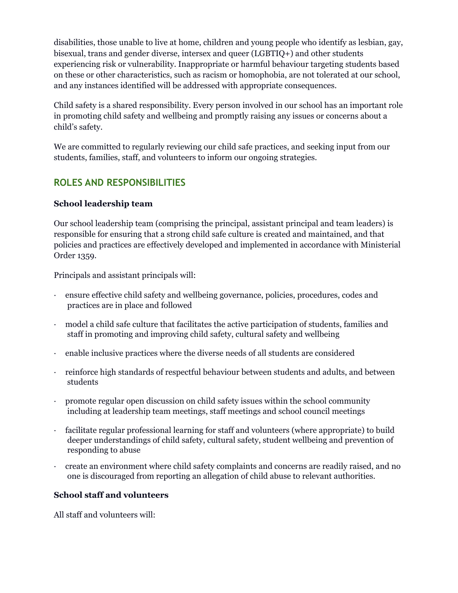disabilities, those unable to live at home, children and young people who identify as lesbian, gay, bisexual, trans and gender diverse, intersex and queer (LGBTIQ+) and other students experiencing risk or vulnerability. Inappropriate or harmful behaviour targeting students based on these or other characteristics, such as racism or homophobia, are not tolerated at our school, and any instances identified will be addressed with appropriate consequences.

Child safety is a shared responsibility. Every person involved in our school has an important role in promoting child safety and wellbeing and promptly raising any issues or concerns about a child's safety.

We are committed to regularly reviewing our child safe practices, and seeking input from our students, families, staff, and volunteers to inform our ongoing strategies.

### **ROLES AND RESPONSIBILITIES**

#### **School leadership team**

Our school leadership team (comprising the principal, assistant principal and team leaders) is responsible for ensuring that a strong child safe culture is created and maintained, and that policies and practices are effectively developed and implemented in accordance with Ministerial Order 1359.

Principals and assistant principals will:

- · ensure effective child safety and wellbeing governance, policies, procedures, codes and practices are in place and followed
- · model a child safe culture that facilitates the active participation of students, families and staff in promoting and improving child safety, cultural safety and wellbeing
- · enable inclusive practices where the diverse needs of all students are considered
- · reinforce high standards of respectful behaviour between students and adults, and between students
- · promote regular open discussion on child safety issues within the school community including at leadership team meetings, staff meetings and school council meetings
- facilitate regular professional learning for staff and volunteers (where appropriate) to build deeper understandings of child safety, cultural safety, student wellbeing and prevention of responding to abuse
- · create an environment where child safety complaints and concerns are readily raised, and no one is discouraged from reporting an allegation of child abuse to relevant authorities.

#### **School staff and volunteers**

All staff and volunteers will: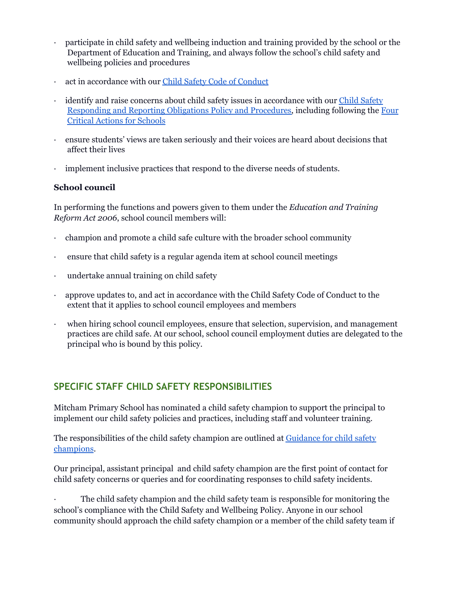- · participate in child safety and wellbeing induction and training provided by the school or the Department of Education and Training, and always follow the school's child safety and wellbeing policies and procedures
- act in accordance with our Child Safety Code of [Conduct](https://docs.google.com/document/d/1Oi9hzvS7l3kcEcSV7WzL3vO6Qiia52R18ZpszAMMn8g/edit?usp=sharing)
- identify and raise concerns about child safety issues in accordance with our Child [Safety](https://docs.google.com/document/d/1UdtWR7ipR3px1BP2xTdp8Hxu2kajqqm5FZw_0EZkHsA/edit?usp=sharing) [Responding](https://docs.google.com/document/d/1UdtWR7ipR3px1BP2xTdp8Hxu2kajqqm5FZw_0EZkHsA/edit?usp=sharing) and Reporting Obligations Policy and Procedures, including following the [Four](https://www.education.vic.gov.au/school/teachers/health/childprotection/Pages/report.aspx) Critical Actions for [Schools](https://www.education.vic.gov.au/school/teachers/health/childprotection/Pages/report.aspx)
- · ensure students' views are taken seriously and their voices are heard about decisions that affect their lives
- implement inclusive practices that respond to the diverse needs of students.

#### **School council**

In performing the functions and powers given to them under the *Education and Training Reform Act 2006*, school council members will:

- · champion and promote a child safe culture with the broader school community
- · ensure that child safety is a regular agenda item at school council meetings
- undertake annual training on child safety
- · approve updates to, and act in accordance with the Child Safety Code of Conduct to the extent that it applies to school council employees and members
- when hiring school council employees, ensure that selection, supervision, and management practices are child safe. At our school, school council employment duties are delegated to the principal who is bound by this policy.

#### **SPECIFIC STAFF CHILD SAFETY RESPONSIBILITIES**

Mitcham Primary School has nominated a child safety champion to support the principal to implement our child safety policies and practices, including staff and volunteer training.

The responsibilities of the child safety champion are outlined at [Guidance](https://www.vic.gov.au/guidance-child-safety-champions) for child safety [champions](https://www.vic.gov.au/guidance-child-safety-champions).

Our principal, assistant principal and child safety champion are the first point of contact for child safety concerns or queries and for coordinating responses to child safety incidents.

The child safety champion and the child safety team is responsible for monitoring the school's compliance with the Child Safety and Wellbeing Policy. Anyone in our school community should approach the child safety champion or a member of the child safety team if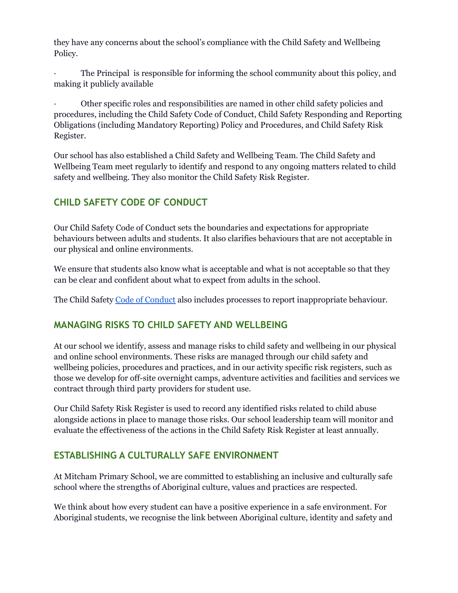they have any concerns about the school's compliance with the Child Safety and Wellbeing Policy.

The Principal is responsible for informing the school community about this policy, and making it publicly available

· Other specific roles and responsibilities are named in other child safety policies and procedures, including the Child Safety Code of Conduct, Child Safety Responding and Reporting Obligations (including Mandatory Reporting) Policy and Procedures, and Child Safety Risk Register.

Our school has also established a Child Safety and Wellbeing Team. The Child Safety and Wellbeing Team meet regularly to identify and respond to any ongoing matters related to child safety and wellbeing. They also monitor the Child Safety Risk Register.

# **CHILD SAFETY CODE OF CONDUCT**

Our Child Safety Code of Conduct sets the boundaries and expectations for appropriate behaviours between adults and students. It also clarifies behaviours that are not acceptable in our physical and online environments.

We ensure that students also know what is acceptable and what is not acceptable so that they can be clear and confident about what to expect from adults in the school.

The Child Safety Code of [Conduct](https://docs.google.com/document/d/1Oi9hzvS7l3kcEcSV7WzL3vO6Qiia52R18ZpszAMMn8g/edit?usp=sharing) also includes processes to report inappropriate behaviour.

#### **MANAGING RISKS TO CHILD SAFETY AND WELLBEING**

At our school we identify, assess and manage risks to child safety and wellbeing in our physical and online school environments. These risks are managed through our child safety and wellbeing policies, procedures and practices, and in our activity specific risk registers, such as those we develop for off-site overnight camps, adventure activities and facilities and services we contract through third party providers for student use.

Our Child Safety Risk Register is used to record any identified risks related to child abuse alongside actions in place to manage those risks. Our school leadership team will monitor and evaluate the effectiveness of the actions in the Child Safety Risk Register at least annually.

#### **ESTABLISHING A CULTURALLY SAFE ENVIRONMENT**

At Mitcham Primary School, we are committed to establishing an inclusive and culturally safe school where the strengths of Aboriginal culture, values and practices are respected.

We think about how every student can have a positive experience in a safe environment. For Aboriginal students, we recognise the link between Aboriginal culture, identity and safety and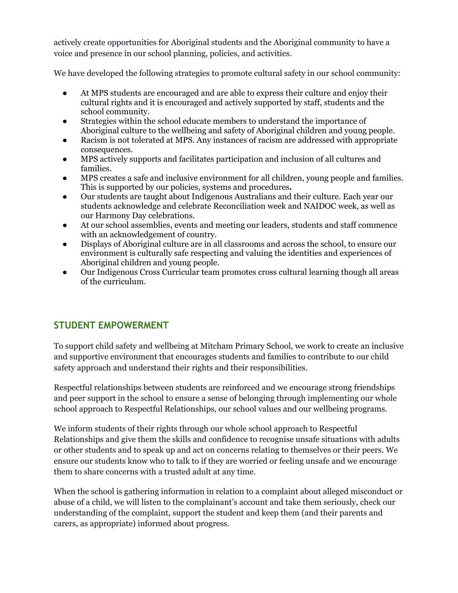actively create opportunities for Aboriginal students and the Aboriginal community to have a voice and presence in our school planning, policies, and activities.

We have developed the following strategies to promote cultural safety in our school community:

- At MPS students are encouraged and are able to express their culture and enjoy their cultural rights and it is encouraged and actively supported by staff, students and the school community.
- Strategies within the school educate members to understand the importance of Aboriginal culture to the wellbeing and safety of Aboriginal children and young people.
- Racism is not tolerated at MPS. Any instances of racism are addressed with appropriate consequences.
- MPS actively supports and facilitates participation and inclusion of all cultures and families.
- MPS creates a safe and inclusive environment for all children, young people and families. This is supported by our policies, systems and procedures**.**
- Our students are taught about Indigenous Australians and their culture. Each year our students acknowledge and celebrate Reconciliation week and NAIDOC week, as well as our Harmony Day celebrations.
- At our school assemblies, events and meeting our leaders, students and staff commence with an acknowledgement of country.
- Displays of Aboriginal culture are in all classrooms and across the school, to ensure our environment is culturally safe respecting and valuing the identities and experiences of Aboriginal children and young people.
- Our Indigenous Cross Curricular team promotes cross cultural learning though all areas of the curriculum.

# **STUDENT EMPOWERMENT**

To support child safety and wellbeing at Mitcham Primary School, we work to create an inclusive and supportive environment that encourages students and families to contribute to our child safety approach and understand their rights and their responsibilities.

Respectful relationships between students are reinforced and we encourage strong friendships and peer support in the school to ensure a sense of belonging through implementing our whole school approach to Respectful Relationships, our school values and our wellbeing programs.

We inform students of their rights through our whole school approach to Respectful Relationships and give them the skills and confidence to recognise unsafe situations with adults or other students and to speak up and act on concerns relating to themselves or their peers. We ensure our students know who to talk to if they are worried or feeling unsafe and we encourage them to share concerns with a trusted adult at any time.

When the school is gathering information in relation to a complaint about alleged misconduct or abuse of a child, we will listen to the complainant's account and take them seriously, check our understanding of the complaint, support the student and keep them (and their parents and carers, as appropriate) informed about progress.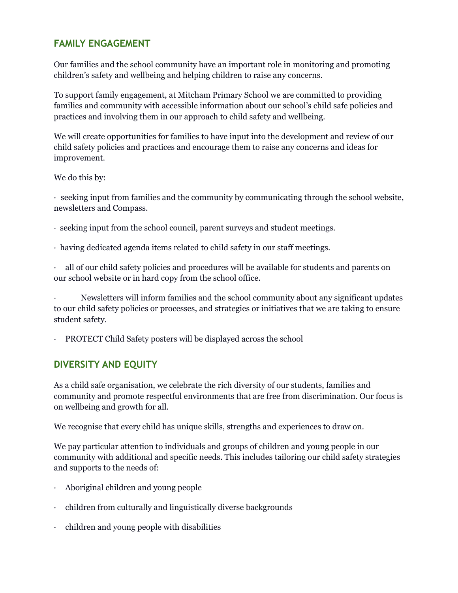#### **FAMILY ENGAGEMENT**

Our families and the school community have an important role in monitoring and promoting children's safety and wellbeing and helping children to raise any concerns.

To support family engagement, at Mitcham Primary School we are committed to providing families and community with accessible information about our school's child safe policies and practices and involving them in our approach to child safety and wellbeing.

We will create opportunities for families to have input into the development and review of our child safety policies and practices and encourage them to raise any concerns and ideas for improvement.

We do this by:

· seeking input from families and the community by communicating through the school website, newsletters and Compass.

- · seeking input from the school council, parent surveys and student meetings.
- · having dedicated agenda items related to child safety in our staff meetings.

· all of our child safety policies and procedures will be available for students and parents on our school website or in hard copy from the school office.

· Newsletters will inform families and the school community about any significant updates to our child safety policies or processes, and strategies or initiatives that we are taking to ensure student safety.

· PROTECT Child Safety posters will be displayed across the school

#### **DIVERSITY AND EQUITY**

As a child safe organisation, we celebrate the rich diversity of our students, families and community and promote respectful environments that are free from discrimination. Our focus is on wellbeing and growth for all.

We recognise that every child has unique skills, strengths and experiences to draw on.

We pay particular attention to individuals and groups of children and young people in our community with additional and specific needs. This includes tailoring our child safety strategies and supports to the needs of:

- · Aboriginal children and young people
- · children from culturally and linguistically diverse backgrounds
- · children and young people with disabilities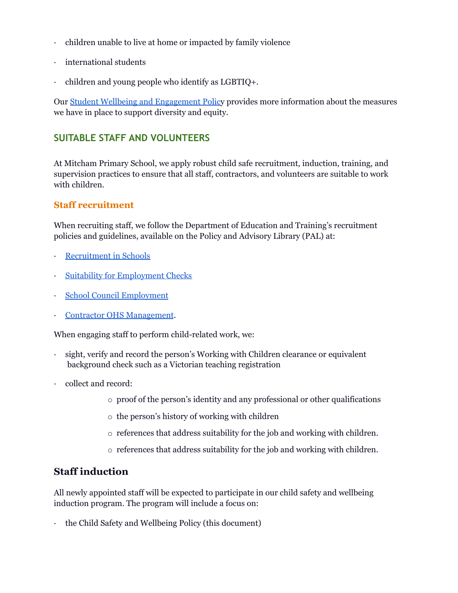- · children unable to live at home or impacted by family violence
- international students
- · children and young people who identify as LGBTIQ+.

Our Student Wellbeing and [Engagement](https://drive.google.com/file/d/1Eb1cb2puUM8RoajHMRhvex2lLvpuzdNO/view?usp=sharing) Policy provides more information about the measures we have in place to support diversity and equity.

### **SUITABLE STAFF AND VOLUNTEERS**

At Mitcham Primary School, we apply robust child safe recruitment, induction, training, and supervision practices to ensure that all staff, contractors, and volunteers are suitable to work with children.

#### **Staff recruitment**

When recruiting staff, we follow the Department of Education and Training's recruitment policies and guidelines, available on the Policy and Advisory Library (PAL) at:

- **[Recruitment](https://www2.education.vic.gov.au/pal/recruitment-schools/overview) in Schools**
- Suitability for [Employment](https://www2.education.vic.gov.au/pal/suitability-employment-checks/overview) Checks
- School Council [Employment](https://www2.education.vic.gov.au/pal/school-council-employment/overview)
- Contractor OHS [Management](https://www2.education.vic.gov.au/pal/contractor-ohs-management/policy).

When engaging staff to perform child-related work, we:

- sight, verify and record the person's Working with Children clearance or equivalent background check such as a Victorian teaching registration
- collect and record:
	- o proof of the person's identity and any professional or other qualifications
	- o the person's history of working with children
	- o references that address suitability for the job and working with children.
	- o references that address suitability for the job and working with children.

#### **Staff induction**

All newly appointed staff will be expected to participate in our child safety and wellbeing induction program. The program will include a focus on:

· the Child Safety and Wellbeing Policy (this document)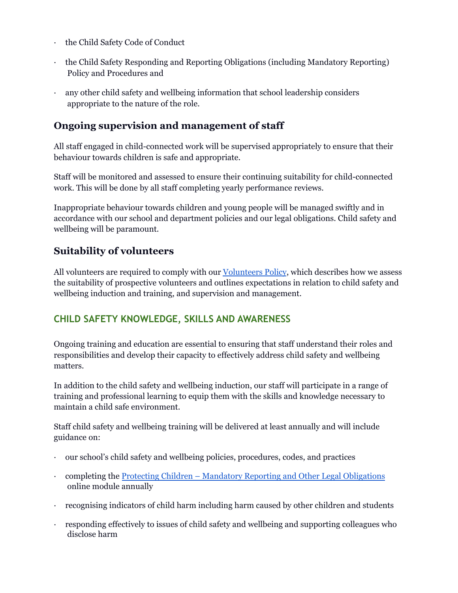- · the Child Safety Code of Conduct
- · the Child Safety Responding and Reporting Obligations (including Mandatory Reporting) Policy and Procedures and
- any other child safety and wellbeing information that school leadership considers appropriate to the nature of the role.

#### **Ongoing supervision and management of staff**

All staff engaged in child-connected work will be supervised appropriately to ensure that their behaviour towards children is safe and appropriate.

Staff will be monitored and assessed to ensure their continuing suitability for child-connected work. This will be done by all staff completing yearly performance reviews.

Inappropriate behaviour towards children and young people will be managed swiftly and in accordance with our school and department policies and our legal obligations. Child safety and wellbeing will be paramount.

#### **Suitability of volunteers**

All volunteers are required to comply with our [Volunteers](https://drive.google.com/file/d/1oI5JT1rwrgr_z4lL7Djffn4RjU_m1ViX/view?usp=sharing) Policy, which describes how we assess the suitability of prospective volunteers and outlines expectations in relation to child safety and wellbeing induction and training, and supervision and management.

#### **CHILD SAFETY KNOWLEDGE, SKILLS AND AWARENESS**

Ongoing training and education are essential to ensuring that staff understand their roles and responsibilities and develop their capacity to effectively address child safety and wellbeing matters.

In addition to the child safety and wellbeing induction, our staff will participate in a range of training and professional learning to equip them with the skills and knowledge necessary to maintain a child safe environment.

Staff child safety and wellbeing training will be delivered at least annually and will include guidance on:

- · our school's child safety and wellbeing policies, procedures, codes, and practices
- · completing the Protecting Children Mandatory Reporting and Other Legal [Obligations](http://elearn.com.au/det/protectingchildren/) online module annually
- · recognising indicators of child harm including harm caused by other children and students
- · responding effectively to issues of child safety and wellbeing and supporting colleagues who disclose harm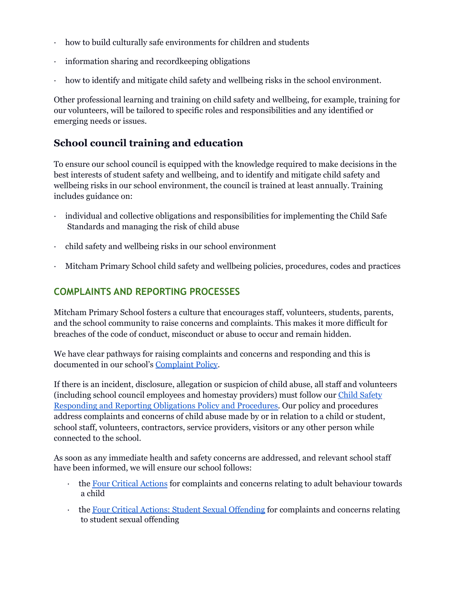- how to build culturally safe environments for children and students
- · information sharing and recordkeeping obligations
- how to identify and mitigate child safety and wellbeing risks in the school environment.

Other professional learning and training on child safety and wellbeing, for example, training for our volunteers, will be tailored to specific roles and responsibilities and any identified or emerging needs or issues.

# **School council training and education**

To ensure our school council is equipped with the knowledge required to make decisions in the best interests of student safety and wellbeing, and to identify and mitigate child safety and wellbeing risks in our school environment, the council is trained at least annually. Training includes guidance on:

- · individual and collective obligations and responsibilities for implementing the Child Safe Standards and managing the risk of child abuse
- · child safety and wellbeing risks in our school environment
- · Mitcham Primary School child safety and wellbeing policies, procedures, codes and practices

### **COMPLAINTS AND REPORTING PROCESSES**

Mitcham Primary School fosters a culture that encourages staff, volunteers, students, parents, and the school community to raise concerns and complaints. This makes it more difficult for breaches of the code of conduct, misconduct or abuse to occur and remain hidden.

We have clear pathways for raising complaints and concerns and responding and this is documented in our school's [Complaint](https://drive.google.com/file/d/1M9waM83NTevpcIC9-cwUe3TzMrC-TTIR/view?usp=sharing) Policy.

If there is an incident, disclosure, allegation or suspicion of child abuse, all staff and volunteers (including school council employees and homestay providers) must follow our Child [Safety](https://docs.google.com/document/d/1UdtWR7ipR3px1BP2xTdp8Hxu2kajqqm5FZw_0EZkHsA/edit?usp=sharing) [Responding](https://docs.google.com/document/d/1UdtWR7ipR3px1BP2xTdp8Hxu2kajqqm5FZw_0EZkHsA/edit?usp=sharing) and Reporting Obligations Policy and Procedures. Our policy and procedures address complaints and concerns of child abuse made by or in relation to a child or student, school staff, volunteers, contractors, service providers, visitors or any other person while connected to the school.

As soon as any immediate health and safety concerns are addressed, and relevant school staff have been informed, we will ensure our school follows:

- · the Four Critical [Actions](https://www.education.vic.gov.au/Documents/about/programs/health/protect/FourCriticalActions_ChildAbuse.pdf) for complaints and concerns relating to adult behaviour towards a child
- the Four Critical Actions: Student Sexual [Offending](https://www.education.vic.gov.au/school/teachers/health/childprotection/Pages/stusexual.aspx) for complaints and concerns relating to student sexual offending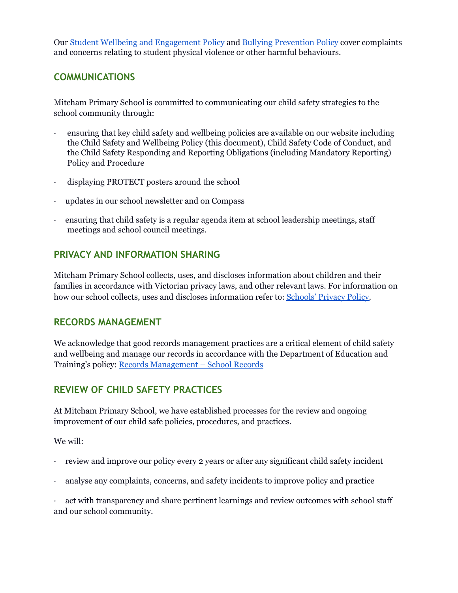Our Student Wellbeing and [Engagement](https://drive.google.com/file/d/1Eb1cb2puUM8RoajHMRhvex2lLvpuzdNO/view?usp=sharing) Policy and Bullying [Prevention](https://drive.google.com/file/d/1-7DN4GTho7mtwsKa8YcA9NG44dujtGf5/view?usp=sharing) Policy cover complaints and concerns relating to student physical violence or other harmful behaviours.

#### **COMMUNICATIONS**

Mitcham Primary School is committed to communicating our child safety strategies to the school community through:

- · ensuring that key child safety and wellbeing policies are available on our website including the Child Safety and Wellbeing Policy (this document), Child Safety Code of Conduct, and the Child Safety Responding and Reporting Obligations (including Mandatory Reporting) Policy and Procedure
- · displaying PROTECT posters around the school
- updates in our school newsletter and on Compass
- · ensuring that child safety is a regular agenda item at school leadership meetings, staff meetings and school council meetings.

#### **PRIVACY AND INFORMATION SHARING**

Mitcham Primary School collects, uses, and discloses information about children and their families in accordance with Victorian privacy laws, and other relevant laws. For information on how our school collects, uses and discloses information refer to: [Schools'](https://www.education.vic.gov.au/Pages/schoolsprivacypolicy.aspx) Privacy Policy.

#### **RECORDS MANAGEMENT**

We acknowledge that good records management practices are a critical element of child safety and wellbeing and manage our records in accordance with the Department of Education and Training's policy: Records [Management](https://www2.education.vic.gov.au/pal/records-management/policy) – School Records

# **REVIEW OF CHILD SAFETY PRACTICES**

At Mitcham Primary School, we have established processes for the review and ongoing improvement of our child safe policies, procedures, and practices.

We will:

- review and improve our policy every 2 years or after any significant child safety incident
- · analyse any complaints, concerns, and safety incidents to improve policy and practice

· act with transparency and share pertinent learnings and review outcomes with school staff and our school community.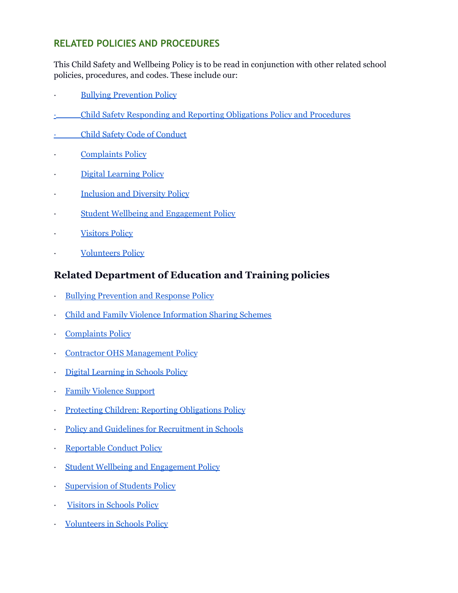### **RELATED POLICIES AND PROCEDURES**

This Child Safety and Wellbeing Policy is to be read in conjunction with other related school policies, procedures, and codes. These include our:

- **Bullying [Prevention](https://drive.google.com/file/d/1-7DN4GTho7mtwsKa8YcA9NG44dujtGf5/view?usp=sharing) Policy**
- · Child Safety [Responding](https://docs.google.com/document/d/1UdtWR7ipR3px1BP2xTdp8Hxu2kajqqm5FZw_0EZkHsA/edit?usp=sharing) and Reporting Obligations Policy and Procedures
- Child Safety Code of [Conduct](https://docs.google.com/document/d/1Oi9hzvS7l3kcEcSV7WzL3vO6Qiia52R18ZpszAMMn8g/edit?usp=sharing)
- [Complaints](https://drive.google.com/file/d/1M9waM83NTevpcIC9-cwUe3TzMrC-TTIR/view?usp=sharing) Policy
- · Digital [Learning](https://drive.google.com/file/d/1YtrJCzwunwH0yiPeJ_du8HSfFvUFqqe7/view?usp=sharing) Policy
- **[Inclusion](https://drive.google.com/file/d/1GYJsG7A08Iskki7vmGxTEVUJCyNS3iPQ/view?usp=sharing) and Diversity Policy**
- Student Wellbeing and [Engagement](https://drive.google.com/file/d/1Eb1cb2puUM8RoajHMRhvex2lLvpuzdNO/view?usp=sharing) Policy
- **[Visitors](https://drive.google.com/file/d/1Kw5b0mKZ0eciEvPW770qeEHudYVi-9cm/view?usp=sharing) Policy**
- **[Volunteers](https://drive.google.com/file/d/1oI5JT1rwrgr_z4lL7Djffn4RjU_m1ViX/view?usp=sharing) Policy**

### **Related Department of Education and Training policies**

- **Bullying [Prevention](https://www2.education.vic.gov.au/pal/bullying-prevention-response/policy) and Response Policy**
- · Child and Family Violence [Information](https://www2.education.vic.gov.au/pal/information-sharing-schemes/policy) Sharing Schemes
- **[Complaints](https://www2.education.vic.gov.au/pal/complaints/policy) Policy**
- **Contractor OHS [Management](https://www2.education.vic.gov.au/pal/contractor-ohs-management/policy) Policy**
- · Digital [Learning](https://www2.education.vic.gov.au/pal/digital-learning/policy) in Schools Policy
- **Family [Violence](https://www2.education.vic.gov.au/pal/family-violence-support/policy) Support**
- · Protecting Children: Reporting [Obligations](https://www2.education.vic.gov.au/pal/protecting-children/policy) Policy
- Policy and Guidelines for [Recruitment](https://www2.education.vic.gov.au/pal/recruitment-schools/policy-and-guidelines) in Schools
- **[Reportable](https://www2.education.vic.gov.au/pal/reportable-conduct-scheme/policy) Conduct Policy**
- · Student Wellbeing and [Engagement](https://www2.education.vic.gov.au/pal/student-engagement/policy) Policy
- [Supervision](https://www2.education.vic.gov.au/pal/supervision-students/policy) of Students Policy
- · [Visitors](https://www2.education.vic.gov.au/pal/visitors/policy) in Schools Policy
- · [Volunteers](https://www2.education.vic.gov.au/pal/volunteers/policy) in Schools Policy